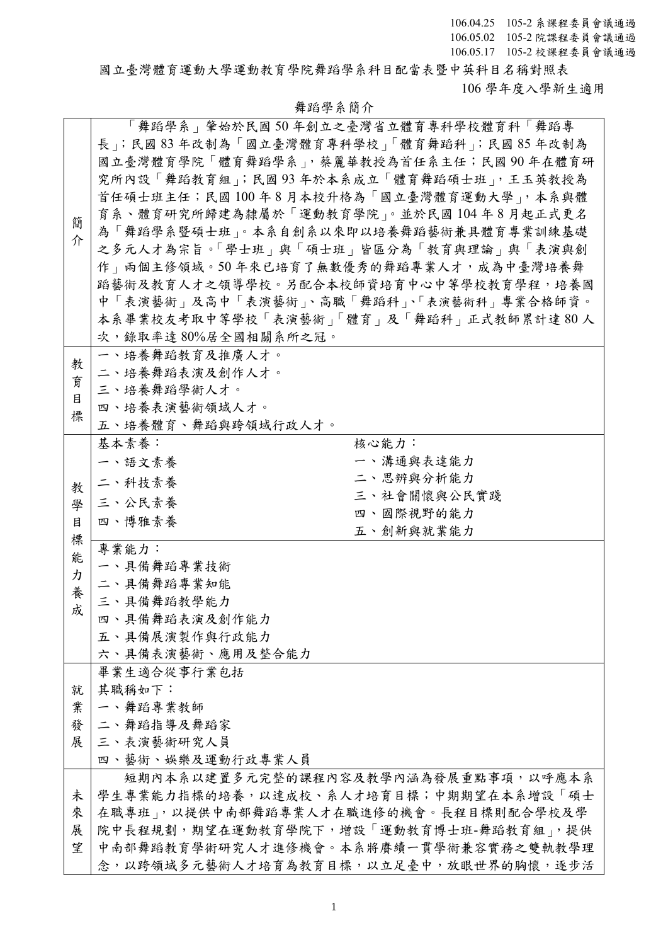國立臺灣體育運動大學運動教育學院舞蹈學系科目配當表暨中英科目名稱對照表 106 學年度入學新生適用

|   |                     | 「舞蹈學系」肇始於民國 50 年創立之臺灣省立體育專科學校體育科「舞蹈專     |
|---|---------------------|------------------------------------------|
|   |                     | 長」;民國83年改制為「國立臺灣體育專科學校」「體育舞蹈科」;民國85年改制為  |
|   |                     | 國立臺灣體育學院「體育舞蹈學系」,蔡麗華教授為首任系主任;民國 90 年在體育研 |
|   |                     | 究所內設「舞蹈教育組」;民國93年於本系成立「體育舞蹈碩士班」,王玉英教授為   |
|   |                     | 首任碩士班主任;民國100年8月本校升格為「國立臺灣體育運動大學」,本系與體   |
|   |                     | 育系、體育研究所歸建為隸屬於「運動教育學院」。並於民國104年8月起正式更名   |
| 簡 |                     | 為「舞蹈學系暨碩士班」。本系自創系以來即以培養舞蹈藝術兼具體育專業訓練基礎    |
| 介 |                     | 之多元人才為宗旨。「學士班」與「碩士班」皆區分為「教育與理論」與「表演與創    |
|   |                     | 作   雨個主修領域。50 年來已培育了無數優秀的舞蹈專業人才,成為中臺灣培養舞 |
|   |                     | 蹈藝術及教育人才之領導學校。另配合本校師資培育中心中等學校教育學程,培養國    |
|   |                     | 中「表演藝術」及高中「表演藝術」、高職「舞蹈科」、「表演藝術科」專業合格師資。  |
|   |                     | 本系畢業校友考取中等學校「表演藝術」「體育」及「舞蹈科」正式教師累計達80人   |
|   |                     |                                          |
|   | 次,錄取率達80%居全國相關系所之冠。 |                                          |
| 教 | 一、培養舞蹈教育及推廣人才。      |                                          |
| 育 | 二、培養舞蹈表演及創作人才。      |                                          |
| 目 | 三、培養舞蹈學術人才。         |                                          |
| 標 | 四、培養表演藝術領域人才。       |                                          |
|   | 五、培養體育、舞蹈與跨領域行政人才。  |                                          |
|   | 基本素養:               | 核心能力:                                    |
|   | 一、語文素養              | 一、溝通與表達能力                                |
| 教 | 二、科技素養              | 二、思辨與分析能力                                |
| 學 | 三、公民素養              | 三、社會關懷與公民實踐                              |
| 目 | 四、博雅素養              | 四、國際視野的能力                                |
| 標 |                     | 五、創新與就業能力                                |
| 能 | 專業能力:               |                                          |
| カ | 一、具備舞蹈專業技術          |                                          |
| 養 | 二、具備舞蹈專業知能          |                                          |
| 成 | 三、具備舞蹈教學能力          |                                          |
|   | 四、具備舞蹈表演及創作能力       |                                          |
|   | 五、具備展演製作與行政能力       |                                          |
|   | 六、具備表演藝術、應用及整合能力    |                                          |
|   | 畢業生適合從事行業包括         |                                          |
| 就 | 其職稱如下:              |                                          |
| 業 | 一、舞蹈專業教師            |                                          |
| 發 | 二、舞蹈指導及舞蹈家          |                                          |
| 展 | 三、表演藝術研究人員          |                                          |
|   | 四、藝術、娛樂及運動行政專業人員    |                                          |
|   |                     | 短期內本系以建置多元完整的課程內容及教學內涵為發展重點事項,以呼應本系      |
| 未 |                     | 學生專業能力指標的培養,以達成校、系人才培育目標;中期期望在本系增設「碩士    |
| 來 |                     | 在職專班」,以提供中南部舞蹈專業人才在職進修的機會。長程目標則配合學校及學    |
| 展 |                     | 院中長程規劃,期望在運動教育學院下,增設「運動教育博士班-舞蹈教育組」,提供   |
| 望 |                     | 中南部舞蹈教育學術研究人才進修機會。本系將賡續一貫學術兼容實務之雙軌教學理    |
|   |                     | 念,以跨領域多元藝術人才培育為教育目標,以立足臺中,放眼世界的胸懷,逐步活    |

## 舞蹈學系簡介

1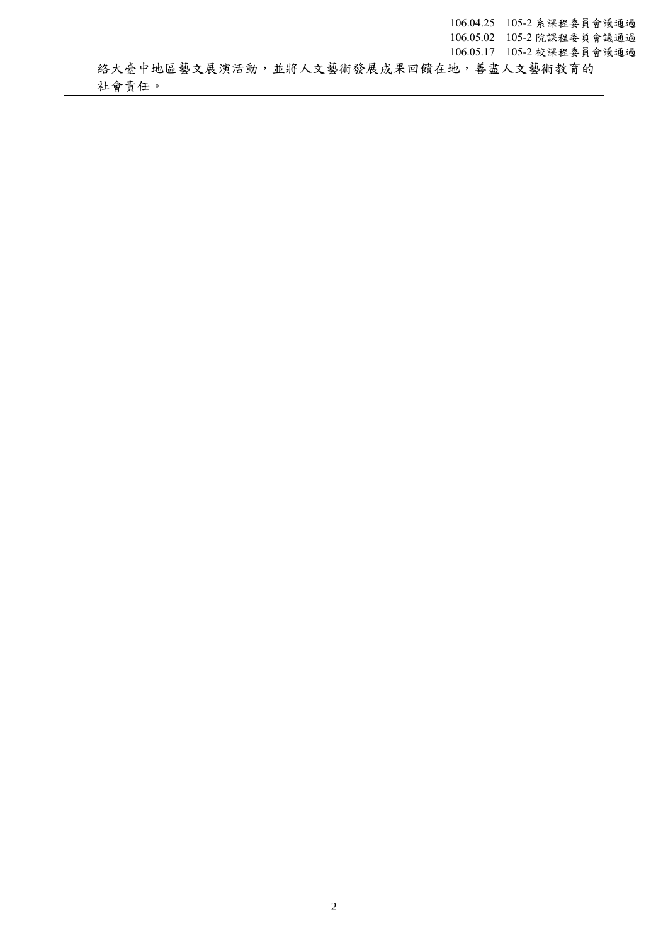絡大臺中地區藝文展演活動,並將人文藝術發展成果回饋在地,善盡人文藝術教育的 社會責任。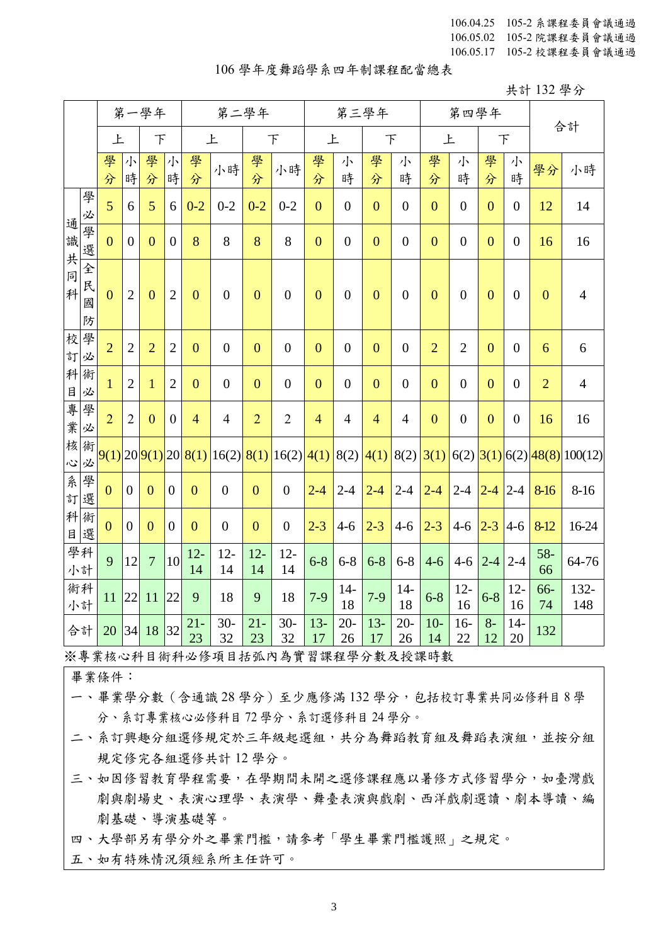## 106 學年度舞蹈學系四年制課程配當總表

共計 132 學分

|                      |                  | 第一學年<br>第二學年   |                  |                |                  |                                |                              |                  | 第三學年             |                |                  | 第四學年           | 合計             |                |                   |                |                  |                |                                       |
|----------------------|------------------|----------------|------------------|----------------|------------------|--------------------------------|------------------------------|------------------|------------------|----------------|------------------|----------------|----------------|----------------|-------------------|----------------|------------------|----------------|---------------------------------------|
|                      |                  | 上              |                  | 下              |                  |                                | 上                            |                  | 下                | 上              |                  | F              |                | 上              |                   |                | $\top$           |                |                                       |
|                      |                  | 學<br>分         | 小<br>時           | 學<br>分         | 小<br>時           | 學<br>分                         | 小時                           | 學<br>分           | 小時               | 學<br>分         | 小<br>時           | 學<br>分         | 小<br>時         | 學<br>分         | 小<br>時            | 學<br>分         | 小<br>時           | 學分             | 小時                                    |
| 通                    | 學<br>必           | 5              | 6                | 5              | 6                | $0 - 2$                        | $0 - 2$                      | $0 - 2$          | $0 - 2$          | $\overline{0}$ | $\overline{0}$   | $\overline{0}$ | $\theta$       | $\overline{0}$ | $\theta$          | $\mathbf{0}$   | $\mathbf{0}$     | 12             | 14                                    |
|                      | 學<br>選           | $\overline{0}$ | $\boldsymbol{0}$ | $\overline{0}$ | $\overline{0}$   | 8                              | 8                            | 8                | 8                | $\overline{0}$ | $\overline{0}$   | $\overline{0}$ | $\overline{0}$ | $\Omega$       | $\overline{0}$    | $\overline{0}$ | $\boldsymbol{0}$ | 16             | 16                                    |
| 識共同科                 | 全<br>民<br>國<br>防 | $\mathbf{0}$   | $\overline{2}$   | $\overline{0}$ | $\overline{2}$   | $\overline{0}$                 | $\boldsymbol{0}$             | $\mathbf{0}$     | $\overline{0}$   | $\overline{0}$ | $\theta$         | $\mathbf{0}$   | $\theta$       | $\overline{0}$ | $\theta$          | $\mathbf{0}$   | $\boldsymbol{0}$ | $\mathbf{0}$   | $\overline{4}$                        |
| 校<br>訂               | 學<br>必           | $\overline{2}$ | $\overline{2}$   | $\overline{2}$ | $\overline{2}$   | $\mathbf{0}$                   | $\boldsymbol{0}$             | $\mathbf{0}$     | $\boldsymbol{0}$ | $\overline{0}$ | $\boldsymbol{0}$ | $\overline{0}$ | $\overline{0}$ | $\overline{2}$ | $\overline{2}$    | $\overline{0}$ | $\overline{0}$   | 6              | 6                                     |
| 科<br>目               | 術<br>必           | $\mathbf{1}$   | $\overline{2}$   | $\mathbf{1}$   | $\overline{2}$   | $\overline{0}$                 | $\boldsymbol{0}$             | $\overline{0}$   | $\overline{0}$   | $\overline{0}$ | $\overline{0}$   | $\overline{0}$ | $\overline{0}$ | $\overline{0}$ | $\overline{0}$    | $\overline{0}$ | $\overline{0}$   | $\overline{2}$ | $\overline{4}$                        |
| 專業                   | 學<br>必           | $\overline{2}$ | $\overline{2}$   | $\mathbf{0}$   | $\boldsymbol{0}$ | $\overline{4}$                 | $\overline{4}$               | $\overline{2}$   | $\overline{2}$   | $\overline{4}$ | $\overline{4}$   | $\overline{4}$ | $\overline{4}$ | $\mathbf{0}$   | $\theta$          | $\mathbf{0}$   | $\boldsymbol{0}$ | 16             | 16                                    |
| 核<br>$\ddot{\omega}$ | 術<br>必           |                |                  |                |                  | $9(1)$  20  $9(1)$  20  $8(1)$ | $16(2)$ 8(1) 16(2) 4(1) 8(2) |                  |                  |                |                  | 4(1)           | 8(2)           | 3(1)           |                   |                |                  |                | (6(2)   3(1)   6(2)   48(8)   100(12) |
| 系<br>訂               | 學<br>選           | $\mathbf{0}$   | $\boldsymbol{0}$ | $\mathbf{0}$   | $\overline{0}$   | $\boldsymbol{0}$               | $\boldsymbol{0}$             | $\boldsymbol{0}$ | $\overline{0}$   | $2 - 4$        | $2 - 4$          | $2 - 4$        | $2 - 4$        | $2 - 4$        | $2-4$ $2-4$ $2-4$ |                |                  | 8-16           | $8-16$                                |
| 科<br>目               | 術<br>選           | $\overline{0}$ | $\overline{0}$   | $\mathbf{0}$   | $\boldsymbol{0}$ | $\overline{0}$                 | $\boldsymbol{0}$             | $\mathbf{0}$     | $\boldsymbol{0}$ | $2 - 3$        | $4 - 6$          | $2 - 3$        | $4 - 6$        | $2 - 3$        | $4 - 6$           | $2 - 3$        | $4 - 6$          | 8-12           | 16-24                                 |
|                      | 學科<br>小計         | 9              | 12               | $\overline{7}$ | 10               | $12 -$<br>14                   | $12 -$<br>14                 | $12 -$<br>14     | $12 -$<br>14     | $6 - 8$        | $6 - 8$          | $6 - 8$        | $6 - 8$        | $4 - 6$        | $4 - 6$           | $2 - 4$        | $2 - 4$          | $58-$<br>66    | 64-76                                 |
|                      | 術科<br>小計         | 11             | 22               | 11             | 22               | 9                              | 18                           | 9                | 18               | $7-9$          | $14-$<br>18      | $7-9$          | $14-$<br>18    | $6 - 8$        | $12 -$<br>16      | $6 - 8$        | $12 -$<br>16     | 66-<br>74      | 132-<br>148                           |
| 合計                   |                  | 20             | 34               | 18             | 32               | $21 -$<br>23                   | $30 -$<br>32                 | $21 -$<br>23     | $30-$<br>32      | $13-$<br>17    | $20 -$<br>26     | $13-$<br>17    | $20 -$<br>26   | $10-$<br>14    | $16-$<br>22       | $8-$<br>12     | $14-$<br>20      | 132            |                                       |

※專業核心科目術科必修項目括弧內為實習課程學分數及授課時數

畢業條件:

- 一、畢業學分數(含通識 28 學分)至少應修滿 132 學分,包括校訂專業共同必修科目 8 學 分、系訂專業核心必修科目 72 學分、系訂選修科目 24 學分。
- 二、系訂興趣分組選修規定於三年級起選組,共分為舞蹈教育組及舞蹈表演組,並按分組 規定修完各組選修共計 12 學分。
- 三、如因修習教育學程需要,在學期間未開之選修課程應以暑修方式修習學分,如臺灣戲 劇與劇場史、表演心理學、表演學、舞臺表演與戲劇、西洋戲劇選讀、劇本導讀、編 劇基礎、導演基礎等。

四、大學部另有學分外之畢業門檻,請參考「學生畢業門檻護照」之規定。

五、如有特殊情況須經系所主任許可。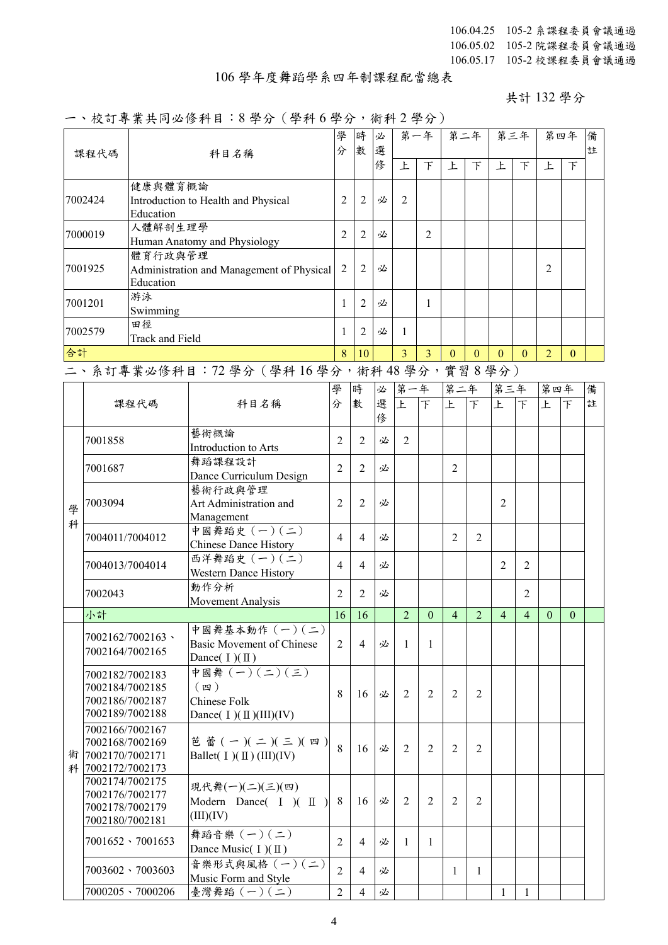## 106 學年度舞蹈學系四年制課程配當總表

共計 132 學分

## 一、校訂專業共同必修科目:8 學分(學科 6 學分,術科 2 學分)

|        | ペッ フ 灬 ハ ' フ ~  ク ゚ / l ー ー<br>課程代碼                                        | 科目名稱                                                              |                                                                                   |                |                | 時<br>必<br>選<br>數 |                | 734 F J J J<br>第一年 |                | 第二年            |                | 第三年            | 第四年            |              | 備<br>註 |
|--------|----------------------------------------------------------------------------|-------------------------------------------------------------------|-----------------------------------------------------------------------------------|----------------|----------------|------------------|----------------|--------------------|----------------|----------------|----------------|----------------|----------------|--------------|--------|
|        |                                                                            |                                                                   |                                                                                   |                |                | 俢                | 上              | $\top$             | 上              | $\top$         | 上              | $\top$         | 上              | 下            |        |
|        | 7002424                                                                    | 健康與體育概論<br>Education                                              | Introduction to Health and Physical                                               | 2              | $\overline{2}$ | 必                | 2              |                    |                |                |                |                |                |              |        |
|        | 7000019                                                                    | 人體解剖生理學                                                           | Human Anatomy and Physiology                                                      | 2              | $\overline{2}$ | 必                |                | $\overline{2}$     |                |                |                |                |                |              |        |
|        | 7001925                                                                    | 體育行政與管理<br>Administration and Management of Physical<br>Education | 2                                                                                 | $\overline{2}$ | 必              |                  |                |                    |                |                |                | $\overline{2}$ |                |              |        |
|        | 7001201                                                                    | 游泳<br>Swimming                                                    |                                                                                   | 1              | $\overline{2}$ | 必                |                | 1                  |                |                |                |                |                |              |        |
|        | 7002579                                                                    | 田徑<br>Track and Field                                             |                                                                                   | 1              | $\overline{2}$ | 必                | 1              |                    |                |                |                |                |                |              |        |
| 合計     |                                                                            |                                                                   |                                                                                   | 8              | 10             |                  | $\overline{3}$ | $\overline{3}$     | $\Omega$       | $\mathbf{0}$   | $\mathbf{0}$   | $\theta$       | $\overline{2}$ | $\mathbf{0}$ |        |
|        |                                                                            |                                                                   | 二、系訂專業必修科目: 72 學分 (學科 16 學分,術科 48 學分,實習 8 學分)                                     |                |                |                  |                |                    |                |                |                |                |                |              |        |
|        |                                                                            |                                                                   |                                                                                   | 學              | 時              | 必                | 第一年            |                    | 第二年            |                | 第三年            |                | 第四年            |              | 備      |
|        |                                                                            | 課程代碼                                                              | 科目名稱                                                                              | 分              | 數              | 選<br>俢           | $\mathbf{E}$   | $\top$             | 上              | $\top$         | E              | $\overline{F}$ | 上              | $\top$       | 註      |
|        | 7001858                                                                    |                                                                   | 藝術概論<br>Introduction to Arts                                                      | $\overline{2}$ | $\overline{2}$ | 必                | $\overline{2}$ |                    |                |                |                |                |                |              |        |
|        | 7001687                                                                    |                                                                   | 舞蹈課程設計<br>Dance Curriculum Design                                                 | $\overline{2}$ | $\overline{2}$ | 必                |                |                    | 2              |                |                |                |                |              |        |
| 學<br>科 | 7003094                                                                    |                                                                   | 藝術行政與管理<br>Art Administration and<br>Management                                   | $\overline{2}$ | 2              | 必                |                |                    |                |                | 2              |                |                |              |        |
|        | 7004011/7004012                                                            |                                                                   | 中國舞蹈史 (一)(二)<br><b>Chinese Dance History</b>                                      | $\overline{4}$ | $\overline{4}$ | 必                |                |                    | 2              | $\overline{2}$ |                |                |                |              |        |
|        | 7004013/7004014                                                            |                                                                   | 西洋舞蹈史 (一)(二)<br>Western Dance History                                             | $\overline{4}$ | $\overline{4}$ | 必                |                |                    |                |                | $\overline{2}$ | $\overline{2}$ |                |              |        |
|        | 7002043                                                                    |                                                                   | 動作分析<br>Movement Analysis                                                         | $\overline{2}$ | $\overline{2}$ | 必                |                |                    |                |                |                | $\overline{2}$ |                |              |        |
|        | 小計                                                                         |                                                                   |                                                                                   | 16             | 16             |                  | $\overline{2}$ | $\mathbf{0}$       | $\overline{4}$ | $\overline{2}$ | $\overline{4}$ | $\overline{4}$ | $\overline{0}$ | $\mathbf{0}$ |        |
|        | 7002164/7002165                                                            | 7002162/7002163 \                                                 | 中國舞基本動作 (一)(二)<br>Basic Movement of Chinese<br>Dance $(I)(\mathbb{I})$            | 2              | $\overline{4}$ | 必                | 1              | 1                  |                |                |                |                |                |              |        |
|        | 7002182/7002183<br>7002184/7002185<br>7002186/7002187<br>7002189/7002188   |                                                                   | 中國舞 (一) (二) (三)<br>$(\,\mathbb{Z}\,)$<br>Chinese Folk<br>Dance( $I)(II)(III)(IV)$ | 8              | 16             | 必                | 2              | 2                  | $\overline{2}$ | 2              |                |                |                |              |        |
| 術      | 7002166/7002167<br>7002168/7002169<br>7002170/7002171<br>科 7002172/7002173 |                                                                   | 芭蕾 (一)(二)(三)(四)<br>Ballet( $I)(II)(III)(IV)$                                      | 8              | 16             | 必                | $\overline{2}$ | $\overline{2}$     | $\overline{2}$ | 2              |                |                |                |              |        |
|        | 7002174/7002175<br>7002176/7002177<br>7002178/7002179<br>7002180/7002181   |                                                                   | 現代舞(一)(二)(三)(四)<br>Modern Dance( $I$ )( $II$ )<br>(III)(IV)                       | 8              | 16             | 必                | 2              | 2                  | $\overline{2}$ | $\overline{2}$ |                |                |                |              |        |
|        |                                                                            | $7001652 \cdot 7001653$                                           | 舞蹈音樂 (一)(二)<br>Dance Music( $I)(II)$                                              | $\overline{2}$ | $\overline{4}$ | 必                | $\mathbf{1}$   | $\mathbf{1}$       |                |                |                |                |                |              |        |
|        |                                                                            | $7003602 \cdot 7003603$                                           | 音樂形式與風格 (一)(二)<br>Music Form and Style                                            | $\overline{2}$ | $\overline{4}$ | 必                |                |                    | 1              | $\mathbf{1}$   |                |                |                |              |        |
|        |                                                                            | $7000205 \cdot 7000206$                                           | 臺灣舞蹈 (一)(二)                                                                       | $\overline{2}$ | $\overline{4}$ | 必                |                |                    |                |                | $\mathbf{1}$   | $\mathbf{1}$   |                |              |        |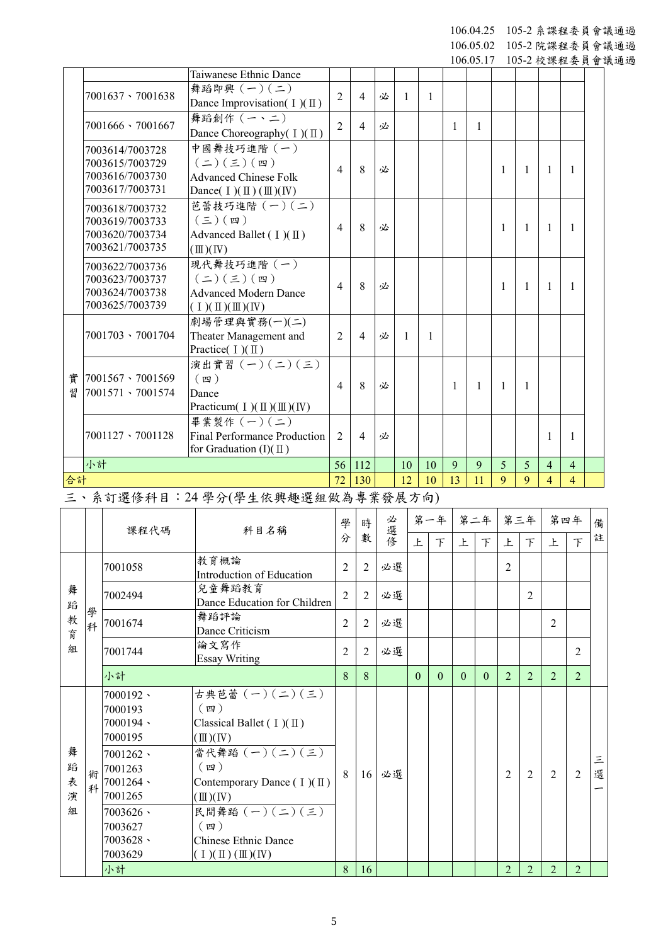106.04.25 105-2 系課程委員會議通過

106.05.02 105-2 院課程委員會議通過

|    |                         |                                                     |                |                |   |                 |    |    |              |   |                |                |                | 106.05.17 105-2 校課程委員會議通過 |
|----|-------------------------|-----------------------------------------------------|----------------|----------------|---|-----------------|----|----|--------------|---|----------------|----------------|----------------|---------------------------|
|    |                         | Taiwanese Ethnic Dance                              |                |                |   |                 |    |    |              |   |                |                |                |                           |
|    | 7001637 \ 7001638       | 舞蹈即興 $(-)(-)$                                       | $\overline{2}$ | $\overline{4}$ | 必 | -1              | 1  |    |              |   |                |                |                |                           |
|    |                         | Dance Improvisation( $I$ )( $\Pi$ )                 |                |                |   |                 |    |    |              |   |                |                |                |                           |
|    | $7001666 \cdot 7001667$ | 舞蹈創作 (一、二)                                          | $\overline{2}$ | $\overline{4}$ |   |                 |    |    |              |   |                |                |                |                           |
|    |                         | Dance Choreography( I)(II)                          |                |                | 必 |                 |    | 1  | 1            |   |                |                |                |                           |
|    | 7003614/7003728         | 中國舞技巧進階 (一)                                         |                |                |   |                 |    |    |              |   |                |                |                |                           |
|    | 7003615/7003729         | $(\equiv) (\equiv) (\equiv)$                        | $\overline{4}$ | 8              | 必 |                 |    |    |              |   |                |                |                |                           |
|    | 7003616/7003730         | <b>Advanced Chinese Folk</b>                        |                |                |   |                 |    |    |              | 1 | $\overline{1}$ | 1              | $\mathbf{1}$   |                           |
|    | 7003617/7003731         | Dance( $I$ )( $\mathbb{II}$ )( $\mathbb{II}$ )( IV) |                |                |   |                 |    |    |              |   |                |                |                |                           |
|    | 7003618/7003732         | 芭蕾技巧進階 (一)(二)                                       |                |                |   |                 |    |    |              |   |                |                |                |                           |
|    | 7003619/7003733         | $(\boldsymbol{\Xi})$ $(\boldsymbol{\Xi})$           | $\overline{4}$ | 8              | 必 |                 |    |    |              |   |                | 1              |                |                           |
|    | 7003620/7003734         | Advanced Ballet $(I)(\mathbb{I})$                   |                |                |   |                 |    |    |              | 1 | $\overline{1}$ |                | 1              |                           |
|    | 7003621/7003735         | $(\mathbb{I})$ (IV)                                 |                |                |   |                 |    |    |              |   |                |                |                |                           |
|    | 7003622/7003736         | 現代舞技巧進階 (一)                                         |                |                |   |                 |    |    |              |   |                |                |                |                           |
|    | 7003623/7003737         | $(\equiv) (\equiv) (\equiv)$                        | $\overline{4}$ | 8              | 必 |                 |    |    |              | 1 | $\overline{1}$ | 1              | $\mathbf{1}$   |                           |
|    | 7003624/7003738         | <b>Advanced Modern Dance</b>                        |                |                |   |                 |    |    |              |   |                |                |                |                           |
|    | 7003625/7003739         | $(1)(\mathbb{I})(\mathbb{I})(\mathbb{N})$           |                |                |   |                 |    |    |              |   |                |                |                |                           |
|    |                         | 劇場管理與實務(一)(二)                                       |                |                |   |                 |    |    |              |   |                |                |                |                           |
|    | $7001703 \cdot 7001704$ | Theater Management and                              | $\overline{2}$ | $\overline{4}$ | 必 | -1              | 1  |    |              |   |                |                |                |                           |
|    |                         | Practice( $I)(II)$                                  |                |                |   |                 |    |    |              |   |                |                |                |                           |
|    |                         | 演出實習 $(-)(-)(\le)$                                  |                |                |   |                 |    |    |              |   |                |                |                |                           |
| 實  | 7001567 \7001569        | $(\n$ 四 )                                           | $\overline{4}$ | 8              | 必 |                 |    | 1  | $\mathbf{1}$ | 1 | -1             |                |                |                           |
| 習  | 7001571 \ 7001574       | Dance                                               |                |                |   |                 |    |    |              |   |                |                |                |                           |
|    |                         | Practicum( $I$ )( $II$ )( $III$ )( $IV$ )           |                |                |   |                 |    |    |              |   |                |                |                |                           |
|    |                         | 畢業製作 (一)(二)                                         |                |                |   |                 |    |    |              |   |                |                |                |                           |
|    | 7001127 \ 7001128       | Final Performance Production                        | $\overline{2}$ | $\overline{4}$ | 必 |                 |    |    |              |   |                | 1              | 1              |                           |
|    |                         | for Graduation $(I)(\mathbb{I})$                    |                |                |   |                 |    |    |              |   |                |                |                |                           |
|    | 小計                      |                                                     | 56             | 112            |   | 10 <sup>1</sup> | 10 | 9  | 9            | 5 | 5              | $\overline{4}$ | $\overline{4}$ |                           |
| 合計 |                         |                                                     | 72             | 130            |   | 12              | 10 | 13 | 11           | 9 | 9              | 4              | 4              |                           |

三、系訂選修科目:24 學分(學生依興趣選組做為專業發展方向)

|                       |        | 課程代碼                                                                                                                                                              | 科目名稱                                                                                                                                                                                                                                                                                          | 學 | 時              | 必選修 |          | 第一年 第二年  |          |          |                | 第三年            |                | 第四年            | 備      |
|-----------------------|--------|-------------------------------------------------------------------------------------------------------------------------------------------------------------------|-----------------------------------------------------------------------------------------------------------------------------------------------------------------------------------------------------------------------------------------------------------------------------------------------|---|----------------|-----|----------|----------|----------|----------|----------------|----------------|----------------|----------------|--------|
|                       |        |                                                                                                                                                                   |                                                                                                                                                                                                                                                                                               | 分 | 數              |     | 上        | 下        | 上        | $\top$   | 上              | $\top$         | 上              | $\top$         | 註      |
|                       |        | 7001058                                                                                                                                                           | 教育概論<br>Introduction of Education                                                                                                                                                                                                                                                             | 2 | $\overline{2}$ | 必選  |          |          |          |          | $\overline{2}$ |                |                |                |        |
| 舞<br>蹈<br>教<br>育<br>組 |        | 7002494                                                                                                                                                           | 兒童舞蹈教育<br>Dance Education for Children                                                                                                                                                                                                                                                        | 2 | $\overline{2}$ | 必選  |          |          |          |          |                | $\overline{2}$ |                |                |        |
|                       | 學<br>科 | 7001674                                                                                                                                                           | 舞蹈評論<br>Dance Criticism                                                                                                                                                                                                                                                                       | 2 | $\overline{2}$ | 必選  |          |          |          |          |                |                | $\overline{c}$ |                |        |
|                       |        | 7001744                                                                                                                                                           | 論文寫作<br><b>Essay Writing</b>                                                                                                                                                                                                                                                                  | 2 | $\overline{2}$ | 必選  |          |          |          |          |                |                |                | $\overline{2}$ |        |
|                       |        | 小計                                                                                                                                                                |                                                                                                                                                                                                                                                                                               |   | 8              |     | $\theta$ | $\Omega$ | $\Omega$ | $\Omega$ | $\overline{2}$ | $\overline{2}$ | $\overline{2}$ | $\overline{2}$ |        |
| 舞<br>蹈<br>表<br>演<br>組 | 術<br>科 | $7000192 -$<br>7000193<br>7000194、<br>7000195<br>$7001262$ $\cdot$<br>7001263<br>$7001264$ $\cdot$<br>7001265<br>$7003626$ \<br>7003627<br>$7003628 -$<br>7003629 | 古典芭蕾 (一)(二)(三)<br>(四)<br>Classical Ballet $(1)(\mathbb{I})$<br>$(\mathbb{I})$ (IV)<br>當代舞蹈 $(-)(-)(-)(\equiv)$<br>(四)<br>Contemporary Dance $(1)(\mathbb{I})$<br>$(\mathbb{II})(\mathbb{N})$<br>民間舞蹈 (一)(二)(三)<br>(四)<br>Chinese Ethnic Dance<br>$(1)(\mathbb{I})(\mathbb{I})(\mathbb{I})(N)$ | 8 | 16             | 必選  |          |          |          |          | $\overline{2}$ | 2              | $\mathfrak{D}$ | 2              | 三<br>選 |
|                       |        | 小計                                                                                                                                                                |                                                                                                                                                                                                                                                                                               | 8 | 16             |     |          |          |          |          | $\mathfrak{D}$ | $\overline{2}$ | $\overline{2}$ | $\overline{2}$ |        |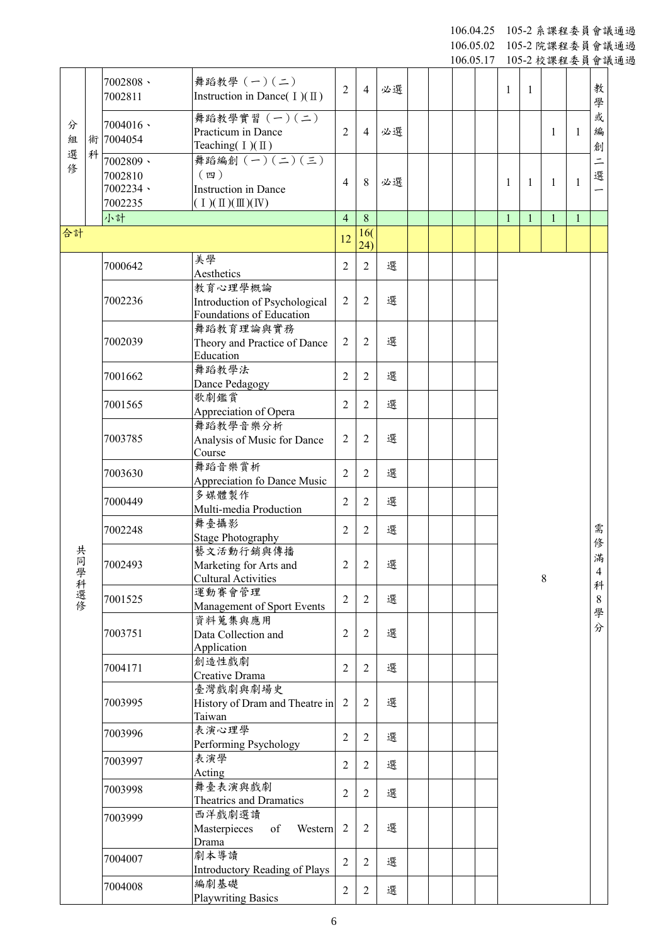106.04.25 10 5 - 2 系課程委員會議通過

106.05.02 105 - 2 院課程委員會議通過

|                  |   |                                                        |                                                                                                           |                |                  |    |  | 106.05.17 |              |              |              |              |                               | 105-2 校課程委員會議通過 |
|------------------|---|--------------------------------------------------------|-----------------------------------------------------------------------------------------------------------|----------------|------------------|----|--|-----------|--------------|--------------|--------------|--------------|-------------------------------|-----------------|
|                  |   | $7002808 -$<br>7002811                                 | 舞蹈教學 (一)(二)<br>Instruction in Dance( $I$ )( $\mathbb{I}$ )                                                | $\overline{2}$ | $\overline{4}$   | 必選 |  |           | 1            | 1            |              |              | 教<br>學                        |                 |
| 分<br>組<br>選<br>俢 |   | $7004016$ $\cdot$<br>術 7004054                         | 舞蹈教學實習 (一)(二)<br>Practicum in Dance<br>Teaching( $I)(II)$                                                 | $\overline{2}$ | $\overline{4}$   | 必選 |  |           |              |              | 1            | $\mathbf{1}$ | 或<br>編<br>創                   |                 |
|                  | 科 | $7002809 -$<br>7002810<br>$7002234$ $\cdot$<br>7002235 | 舞蹈編創 $(-)(\le)(\le)$<br>$(\n$ 四 )<br>Instruction in Dance<br>$(1)(\mathbb{I})(\mathbb{I})(\mathbb{I})(N)$ | 4              | 8                | 必選 |  |           | 1            | 1            | 1            | $\mathbf{1}$ | $\equiv$<br>選                 |                 |
|                  |   | 小計                                                     |                                                                                                           | $\overline{4}$ | $\boldsymbol{8}$ |    |  |           | $\mathbf{1}$ | $\mathbf{1}$ | $\mathbf{1}$ | $\mathbf{1}$ |                               |                 |
| 合計               |   |                                                        |                                                                                                           | 12             | 16(              |    |  |           |              |              |              |              |                               |                 |
|                  |   |                                                        |                                                                                                           |                | (24)             |    |  |           |              |              |              |              |                               |                 |
|                  |   | 7000642                                                | 美學<br>Aesthetics                                                                                          | $\overline{2}$ | $\overline{2}$   | 選  |  |           |              |              |              |              |                               |                 |
|                  |   | 7002236                                                | 教育心理學概論<br>Introduction of Psychological<br>Foundations of Education                                      | $\overline{2}$ | $\overline{2}$   | 選  |  |           |              |              |              |              |                               |                 |
|                  |   | 7002039                                                | 舞蹈教育理論與實務<br>Theory and Practice of Dance<br>Education                                                    | $\overline{2}$ | $\overline{2}$   | 選  |  |           |              |              |              |              |                               |                 |
|                  |   | 7001662                                                | 舞蹈教學法<br>Dance Pedagogy                                                                                   | $\overline{2}$ | $\overline{2}$   | 選  |  |           |              |              |              |              |                               |                 |
|                  |   | 7001565                                                | 歌劇鑑賞<br>Appreciation of Opera                                                                             | $\overline{2}$ | $\overline{2}$   | 選  |  |           |              |              |              |              |                               |                 |
|                  |   | 7003785                                                | 舞蹈教學音樂分析<br>Analysis of Music for Dance<br>Course                                                         | $\overline{2}$ | $\overline{2}$   | 選  |  |           |              |              |              |              |                               |                 |
|                  |   | 7003630                                                | 舞蹈音樂賞析<br>Appreciation fo Dance Music                                                                     | $\overline{2}$ | $\overline{2}$   | 選  |  |           |              |              |              |              |                               |                 |
|                  |   | 7000449                                                | 多媒體製作<br>Multi-media Production                                                                           | $\overline{2}$ | $\overline{2}$   | 選  |  |           |              |              |              |              |                               |                 |
|                  |   | 7002248                                                | 舞臺攝影<br><b>Stage Photography</b>                                                                          | $\overline{2}$ | 2                | 選  |  |           |              |              |              |              | 需                             |                 |
| 共<br>同學科選修       |   | 7002493                                                | 藝文活動行銷與傳播<br>Marketing for Arts and<br><b>Cultural Activities</b>                                         | $\overline{2}$ | 2                | 選  |  |           |              |              | 8            |              | 俢<br>滿<br>$\overline{4}$<br>科 |                 |
|                  |   | 7001525                                                | 運動賽會管理<br>Management of Sport Events                                                                      | $\overline{2}$ | $\overline{2}$   | 選  |  |           |              |              |              |              | 8<br>學                        |                 |
|                  |   | 7003751                                                | 資料蒐集與應用<br>Data Collection and<br>Application                                                             | $\overline{2}$ | 2                | 選  |  |           |              |              |              |              | 分                             |                 |
|                  |   | 7004171                                                | 創造性戲劇<br>Creative Drama                                                                                   | $\overline{2}$ | $\overline{2}$   | 選  |  |           |              |              |              |              |                               |                 |
|                  |   | 7003995                                                | 臺灣戲劇與劇場史<br>History of Dram and Theatre in<br>Taiwan                                                      | $\overline{2}$ | $\overline{2}$   | 選  |  |           |              |              |              |              |                               |                 |
|                  |   | 7003996                                                | 表演心理學<br>Performing Psychology                                                                            | $\overline{2}$ | 2                | 選  |  |           |              |              |              |              |                               |                 |
|                  |   | 7003997                                                | 表演學<br>Acting                                                                                             | $\overline{2}$ | 2                | 選  |  |           |              |              |              |              |                               |                 |
|                  |   | 7003998                                                | 舞臺表演與戲劇<br>Theatrics and Dramatics                                                                        | $\overline{2}$ | 2                | 選  |  |           |              |              |              |              |                               |                 |
|                  |   | 7003999                                                | 西洋戲劇選讀<br>Masterpieces<br>of<br>Western<br>Drama                                                          | $\overline{2}$ | $\overline{2}$   | 選  |  |           |              |              |              |              |                               |                 |
|                  |   | 7004007                                                | 劇本導讀<br>Introductory Reading of Plays                                                                     | $\overline{2}$ | 2                | 選  |  |           |              |              |              |              |                               |                 |
|                  |   | 7004008                                                | 編劇基礎<br><b>Playwriting Basics</b>                                                                         | $\overline{2}$ | 2                | 選  |  |           |              |              |              |              |                               |                 |

6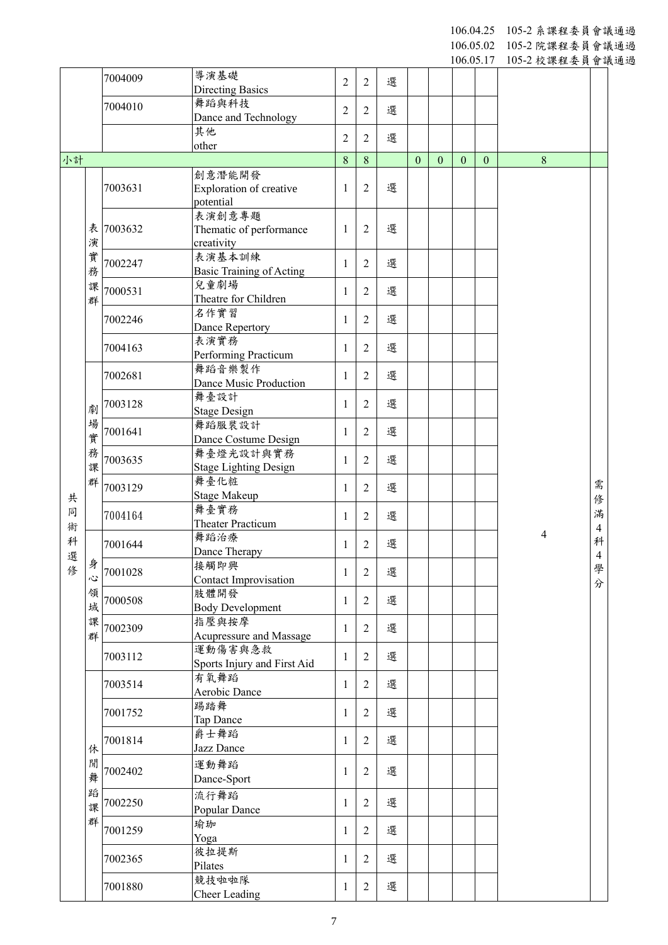106.04.25 10 5 - 2 系課程委員會議通過

106.05.02 105 - 2 院課程委員會議通過

|        |        |         |                                      |                |                |   |              |              | 106.05.17    |              | 105-2 校課程委員會議通過 |                |  |
|--------|--------|---------|--------------------------------------|----------------|----------------|---|--------------|--------------|--------------|--------------|-----------------|----------------|--|
|        |        | 7004009 | 導演基礎                                 | $\overline{2}$ | $\overline{2}$ | 選 |              |              |              |              |                 |                |  |
|        |        |         | <b>Directing Basics</b>              |                |                |   |              |              |              |              |                 |                |  |
|        |        | 7004010 | 舞蹈與科技<br>Dance and Technology        | $\overline{c}$ | $\overline{2}$ | 選 |              |              |              |              |                 |                |  |
|        |        |         | 其他<br>other                          | $\overline{2}$ | $\overline{2}$ | 選 |              |              |              |              |                 |                |  |
| 小計     |        |         |                                      | 8              | 8              |   | $\mathbf{0}$ | $\mathbf{0}$ | $\mathbf{0}$ | $\mathbf{0}$ | 8               |                |  |
|        |        |         | 創意潛能開發                               |                |                |   |              |              |              |              |                 |                |  |
|        |        | 7003631 | Exploration of creative              | $\mathbf{1}$   | $\overline{2}$ | 選 |              |              |              |              |                 |                |  |
|        |        |         | potential                            |                |                |   |              |              |              |              |                 |                |  |
|        |        |         | 表演創意專題                               |                |                |   |              |              |              |              |                 |                |  |
|        | 表      | 7003632 | Thematic of performance              | $\mathbf{1}$   | $\overline{2}$ | 選 |              |              |              |              |                 |                |  |
|        | 演      |         | creativity                           |                |                |   |              |              |              |              |                 |                |  |
|        | 實      | 7002247 | 表演基本訓練                               | $\mathbf{1}$   | $\overline{2}$ | 選 |              |              |              |              |                 |                |  |
|        | 務      |         | <b>Basic Training of Acting</b>      |                |                |   |              |              |              |              |                 |                |  |
|        | 課      | 7000531 | 兒童劇場<br>Theatre for Children         | 1              | $\overline{2}$ | 選 |              |              |              |              |                 |                |  |
|        | 群      |         | 名作實習                                 |                |                |   |              |              |              |              |                 |                |  |
|        |        | 7002246 | Dance Repertory                      | 1              | $\overline{2}$ | 選 |              |              |              |              |                 |                |  |
|        |        |         | 表演實務                                 |                |                |   |              |              |              |              |                 |                |  |
|        |        | 7004163 | Performing Practicum                 | $\mathbf{1}$   | $\overline{2}$ | 選 |              |              |              |              |                 |                |  |
|        |        |         | 舞蹈音樂製作                               |                |                |   |              |              |              |              |                 |                |  |
|        |        | 7002681 | Dance Music Production               | 1              | $\overline{2}$ | 選 |              |              |              |              |                 |                |  |
|        |        | 7003128 | 舞臺設計                                 | $\mathbf{1}$   | $\overline{2}$ | 選 |              |              |              |              |                 |                |  |
|        | 劇      |         | <b>Stage Design</b>                  |                |                |   |              |              |              |              |                 |                |  |
|        | 場      | 7001641 | 舞蹈服裝設計                               | $\mathbf{1}$   | $\overline{2}$ | 選 |              |              |              |              |                 |                |  |
|        | 實      |         | Dance Costume Design                 |                |                |   |              |              |              |              |                 |                |  |
|        | 務      | 7003635 | 舞臺燈光設計與實務                            | 1              | $\overline{2}$ | 選 |              |              |              |              |                 |                |  |
|        | 課      |         | <b>Stage Lighting Design</b><br>舞臺化粧 |                |                |   |              |              |              |              |                 |                |  |
|        | 群      | 7003129 | <b>Stage Makeup</b>                  | $\mathbf{1}$   | $\overline{2}$ | 選 |              |              |              |              |                 | 需              |  |
| 共<br>同 |        |         | 舞臺實務                                 |                |                |   |              |              |              |              |                 | 俢              |  |
| 術      |        | 7004164 | <b>Theater Practicum</b>             | 1              | $\overline{2}$ | 選 |              |              |              |              |                 | 滿              |  |
| 科      |        |         | 舞蹈治療                                 |                |                |   |              |              |              |              | 4               | 4<br>科         |  |
| 選      |        | 7001644 | Dance Therapy                        | 1              | 2              | 選 |              |              |              |              |                 | $\overline{4}$ |  |
| 俢      | 身心     | 7001028 | 接觸即興                                 | $\mathbf{1}$   | $\overline{2}$ | 選 |              |              |              |              |                 | 學              |  |
|        |        |         | Contact Improvisation                |                |                |   |              |              |              |              |                 | 分              |  |
|        | 領      | 7000508 | 肢體開發                                 | $\mathbf{1}$   | $\overline{2}$ | 選 |              |              |              |              |                 |                |  |
|        | 域      |         | <b>Body Development</b>              |                |                |   |              |              |              |              |                 |                |  |
|        | 課<br>群 | 7002309 | 指壓與按摩                                | $\mathbf{1}$   | $\overline{2}$ | 選 |              |              |              |              |                 |                |  |
|        |        |         | Acupressure and Massage<br>運動傷害與急救   |                |                |   |              |              |              |              |                 |                |  |
|        |        | 7003112 | Sports Injury and First Aid          | $\mathbf{1}$   | $\overline{2}$ | 選 |              |              |              |              |                 |                |  |
|        |        |         | 有氧舞蹈                                 |                |                |   |              |              |              |              |                 |                |  |
|        |        | 7003514 | Aerobic Dance                        | $\mathbf{1}$   | $\overline{2}$ | 選 |              |              |              |              |                 |                |  |
|        |        | 7001752 | 踢踏舞                                  | 1              | $\overline{2}$ | 選 |              |              |              |              |                 |                |  |
|        |        |         | Tap Dance                            |                |                |   |              |              |              |              |                 |                |  |
|        |        | 7001814 | 爵士舞蹈                                 | $\mathbf{1}$   | $\overline{2}$ | 選 |              |              |              |              |                 |                |  |
|        | 休      |         | Jazz Dance                           |                |                |   |              |              |              |              |                 |                |  |
|        | 閒      | 7002402 | 運動舞蹈                                 | $\mathbf{1}$   | $\overline{2}$ | 選 |              |              |              |              |                 |                |  |
|        | 舞      |         | Dance-Sport                          |                |                |   |              |              |              |              |                 |                |  |
|        | 蹈      | 7002250 | 流行舞蹈                                 | $\mathbf{1}$   | $\overline{2}$ | 選 |              |              |              |              |                 |                |  |
|        | 課      |         | Popular Dance                        |                |                |   |              |              |              |              |                 |                |  |
|        | 群      | 7001259 | 瑜珈                                   | $\mathbf{1}$   | $\overline{2}$ | 選 |              |              |              |              |                 |                |  |
|        |        |         | Yoga                                 |                |                |   |              |              |              |              |                 |                |  |
|        |        | 7002365 | 彼拉提斯<br>Pilates                      | $\mathbf{1}$   | $\overline{2}$ | 選 |              |              |              |              |                 |                |  |
|        |        |         | 競技啦啦隊                                |                |                |   |              |              |              |              |                 |                |  |
|        |        | 7001880 | Cheer Leading                        | 1              | $\overline{2}$ | 選 |              |              |              |              |                 |                |  |
|        |        |         |                                      |                |                |   |              |              |              |              |                 |                |  |